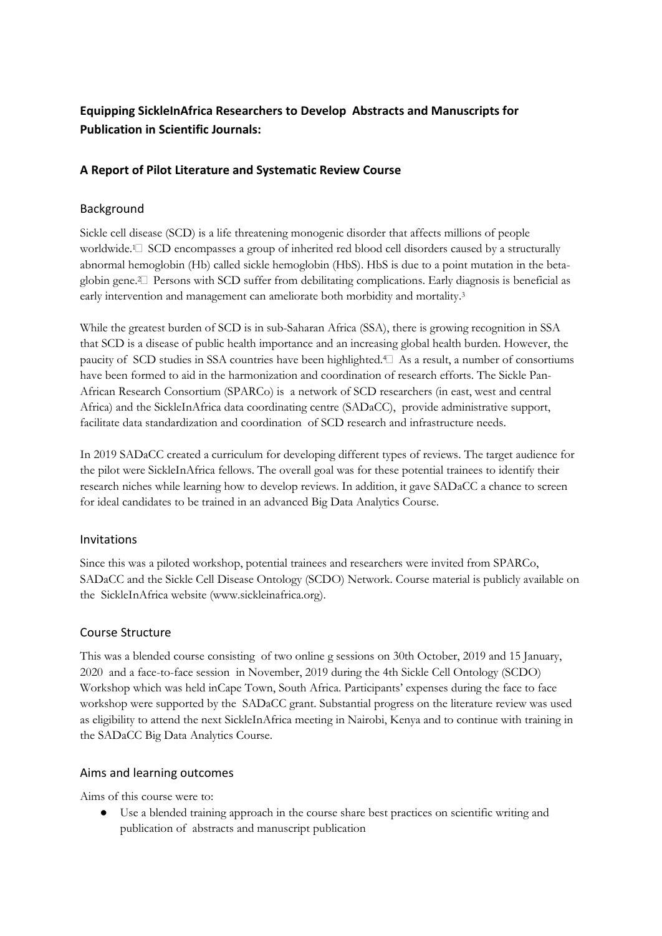# **Equipping SickleInAfrica Researchers to Develop Abstracts and Manuscripts for Publication in Scientific Journals:**

## **A Report of Pilot Literature and Systematic Review Course**

## Background

Sickle cell disease (SCD) is a life threatening monogenic disorder that affects millions of people worldwide.<sup>1</sup> SCD encompasses a group of inherited red blood cell disorders caused by a structurally abnormal hemoglobin (Hb) called sickle hemoglobin (HbS). HbS is due to a point mutation in the betaglobin gene.2 Persons with SCD suffer from debilitating complications. Early diagnosis is beneficial as early intervention and management can ameliorate both morbidity and mortality.<sup>3</sup>

While the greatest burden of SCD is in sub-Saharan Africa (SSA), there is growing recognition in SSA that SCD is a disease of public health importance and an increasing global health burden. However, the paucity of SCD studies in SSA countries have been highlighted.<sup>4</sup> As a result, a number of consortiums have been formed to aid in the harmonization and coordination of research efforts. The Sickle Pan-African Research Consortium (SPARCo) is a network of SCD researchers (in east, west and central Africa) and the SickleInAfrica data coordinating centre (SADaCC), provide administrative support, facilitate data standardization and coordination of SCD research and infrastructure needs.

In 2019 SADaCC created a curriculum for developing different types of reviews. The target audience for the pilot were SickleInAfrica fellows. The overall goal was for these potential trainees to identify their research niches while learning how to develop reviews. In addition, it gave SADaCC a chance to screen for ideal candidates to be trained in an advanced Big Data Analytics Course.

## Invitations

Since this was a piloted workshop, potential trainees and researchers were invited from SPARCo, SADaCC and the Sickle Cell Disease Ontology (SCDO) Network. Course material is publicly available on the SickleInAfrica website (www.sickleinafrica.org).

## Course Structure

This was a blended course consisting of two online g sessions on 30th October, 2019 and 15 January, 2020 and a face-to-face session in November, 2019 during the 4th Sickle Cell Ontology (SCDO) Workshop which was held inCape Town, South Africa. Participants' expenses during the face to face workshop were supported by the SADaCC grant. Substantial progress on the literature review was used as eligibility to attend the next SickleInAfrica meeting in Nairobi, Kenya and to continue with training in the SADaCC Big Data Analytics Course.

## Aims and learning outcomes

Aims of this course were to:

Use a blended training approach in the course share best practices on scientific writing and publication of abstracts and manuscript publication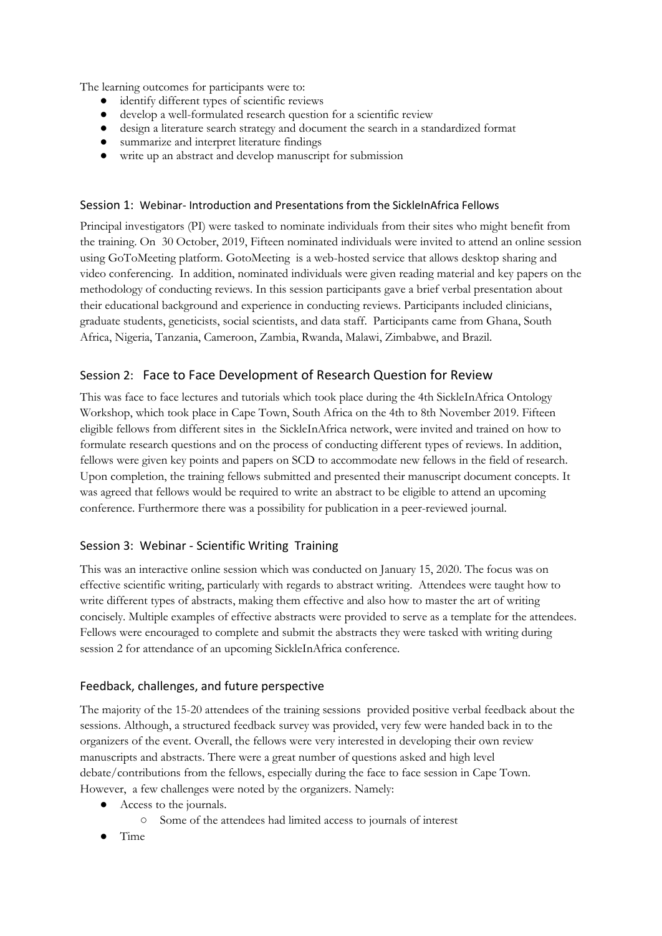The learning outcomes for participants were to:

- identify different types of scientific reviews
- develop a well-formulated research question for a scientific review
- design a literature search strategy and document the search in a standardized format
- summarize and interpret literature findings
- write up an abstract and develop manuscript for submission

#### Session 1: Webinar- Introduction and Presentations from the SickleInAfrica Fellows

Principal investigators (PI) were tasked to nominate individuals from their sites who might benefit from the training. On 30 October, 2019, Fifteen nominated individuals were invited to attend an online session using GoToMeeting platform. GotoMeeting is a web-hosted service that allows desktop sharing and video conferencing. In addition, nominated individuals were given reading material and key papers on the methodology of conducting reviews. In this session participants gave a brief verbal presentation about their educational background and experience in conducting reviews. Participants included clinicians, graduate students, geneticists, social scientists, and data staff. Participants came from Ghana, South Africa, Nigeria, Tanzania, Cameroon, Zambia, Rwanda, Malawi, Zimbabwe, and Brazil.

## Session 2: Face to Face Development of Research Question for Review

This was face to face lectures and tutorials which took place during the 4th SickleInAfrica Ontology Workshop, which took place in Cape Town, South Africa on the 4th to 8th November 2019. Fifteen eligible fellows from different sites in the SickleInAfrica network, were invited and trained on how to formulate research questions and on the process of conducting different types of reviews. In addition, fellows were given key points and papers on SCD to accommodate new fellows in the field of research. Upon completion, the training fellows submitted and presented their manuscript document concepts. It was agreed that fellows would be required to write an abstract to be eligible to attend an upcoming conference. Furthermore there was a possibility for publication in a peer-reviewed journal.

## Session 3: Webinar - Scientific Writing Training

This was an interactive online session which was conducted on January 15, 2020. The focus was on effective scientific writing, particularly with regards to abstract writing. Attendees were taught how to write different types of abstracts, making them effective and also how to master the art of writing concisely. Multiple examples of effective abstracts were provided to serve as a template for the attendees. Fellows were encouraged to complete and submit the abstracts they were tasked with writing during session 2 for attendance of an upcoming SickleInAfrica conference.

## Feedback, challenges, and future perspective

The majority of the 15-20 attendees of the training sessions provided positive verbal feedback about the sessions. Although, a structured feedback survey was provided, very few were handed back in to the organizers of the event. Overall, the fellows were very interested in developing their own review manuscripts and abstracts. There were a great number of questions asked and high level debate/contributions from the fellows, especially during the face to face session in Cape Town. However, a few challenges were noted by the organizers. Namely:

- Access to the journals.
	- Some of the attendees had limited access to journals of interest
- **Time**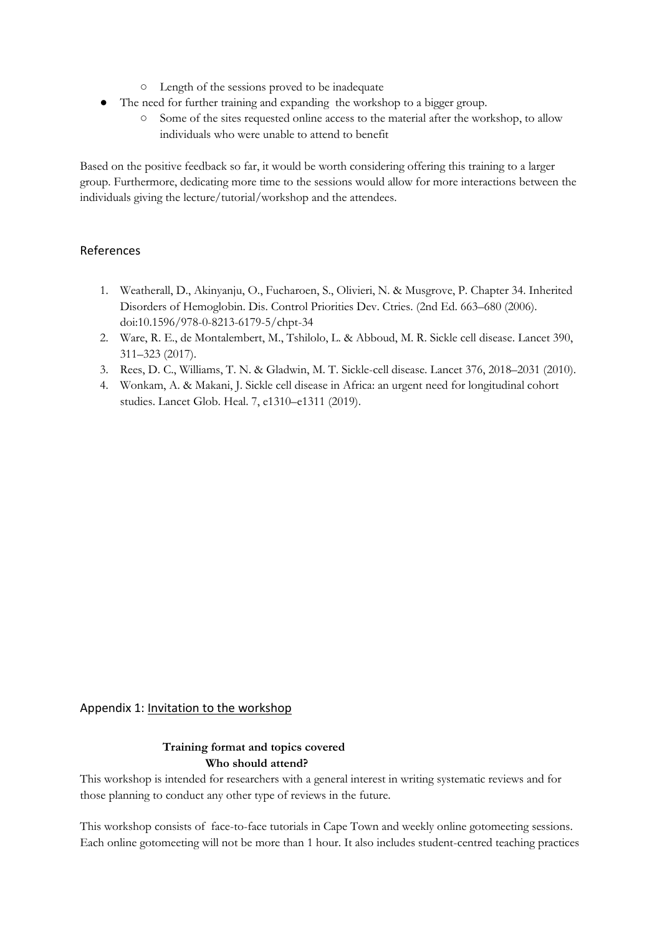- Length of the sessions proved to be inadequate
- The need for further training and expanding the workshop to a bigger group.
	- Some of the sites requested online access to the material after the workshop, to allow individuals who were unable to attend to benefit

Based on the positive feedback so far, it would be worth considering offering this training to a larger group. Furthermore, dedicating more time to the sessions would allow for more interactions between the individuals giving the lecture/tutorial/workshop and the attendees.

#### References

- 1. Weatherall, D., Akinyanju, O., Fucharoen, S., Olivieri, N. & Musgrove, P. Chapter 34. Inherited Disorders of Hemoglobin. Dis. Control Priorities Dev. Ctries. (2nd Ed. 663–680 (2006). doi:10.1596/978-0-8213-6179-5/chpt-34
- 2. Ware, R. E., de Montalembert, M., Tshilolo, L. & Abboud, M. R. Sickle cell disease. Lancet 390, 311–323 (2017).
- 3. Rees, D. C., Williams, T. N. & Gladwin, M. T. Sickle-cell disease. Lancet 376, 2018–2031 (2010).
- 4. Wonkam, A. & Makani, J. Sickle cell disease in Africa: an urgent need for longitudinal cohort studies. Lancet Glob. Heal. 7, e1310–e1311 (2019).

## Appendix 1: Invitation to the workshop

## **Training format and topics covered Who should attend?**

This workshop is intended for researchers with a general interest in writing systematic reviews and for those planning to conduct any other type of reviews in the future.

This workshop consists of face-to-face tutorials in Cape Town and weekly online gotomeeting sessions. Each online gotomeeting will not be more than 1 hour. It also includes student-centred teaching practices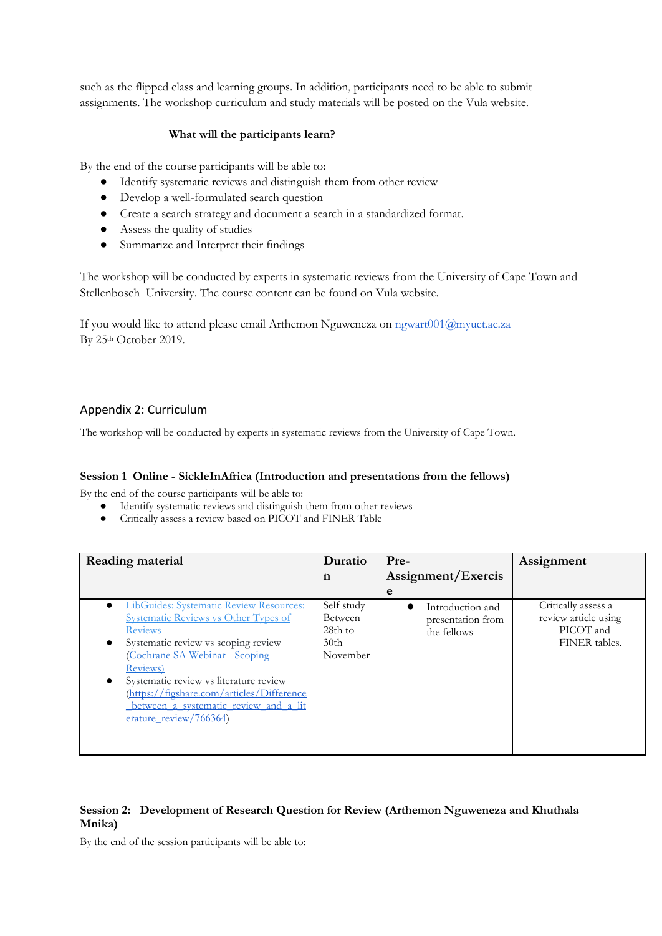such as the flipped class and learning groups. In addition, participants need to be able to submit assignments. The workshop curriculum and study materials will be posted on the Vula website.

#### **What will the participants learn?**

By the end of the course participants will be able to:

- Identify systematic reviews and distinguish them from other review
- Develop a well-formulated search question
- Create a search strategy and document a search in a standardized format.
- Assess the quality of studies
- Summarize and Interpret their findings

The workshop will be conducted by experts in systematic reviews from the University of Cape Town and Stellenbosch University. The course content can be found on Vula website.

If you would like to attend please email Arthemon Nguweneza on [ngwart001@myuct.ac.za](mailto:ngwart001@myuct.ac.za) By 25<sup>th</sup> October 2019.

## Appendix 2: Curriculum

The workshop will be conducted by experts in systematic reviews from the University of Cape Town.

#### **Session 1 Online - SickleInAfrica (Introduction and presentations from the fellows)**

By the end of the course participants will be able to:

- Identify systematic reviews and distinguish them from other reviews
- Critically assess a review based on PICOT and FINER Table

| Reading material                                                                                                                                                                                                                                                                                                                                                           | Duratio                                                          | Pre-                                                 | Assignment                                                                |
|----------------------------------------------------------------------------------------------------------------------------------------------------------------------------------------------------------------------------------------------------------------------------------------------------------------------------------------------------------------------------|------------------------------------------------------------------|------------------------------------------------------|---------------------------------------------------------------------------|
|                                                                                                                                                                                                                                                                                                                                                                            | n                                                                | Assignment/Exercis                                   |                                                                           |
|                                                                                                                                                                                                                                                                                                                                                                            |                                                                  | e                                                    |                                                                           |
| LibGuides: Systematic Review Resources:<br>Systematic Reviews vs Other Types of<br><b>Reviews</b><br>Systematic review vs scoping review<br>$\bullet$<br>Cochrane SA Webinar - Scoping<br><u>Reviews)</u><br>Systematic review vs literature review<br>(https://figshare.com/articles/Difference<br><u>between a systematic review and a lit</u><br>erature review/766364) | Self study<br>Between<br>28th to<br>30 <sub>th</sub><br>November | Introduction and<br>presentation from<br>the fellows | Critically assess a<br>review article using<br>PICOT and<br>FINER tables. |
|                                                                                                                                                                                                                                                                                                                                                                            |                                                                  |                                                      |                                                                           |

#### **Session 2: Development of Research Question for Review (Arthemon Nguweneza and Khuthala Mnika)**

By the end of the session participants will be able to: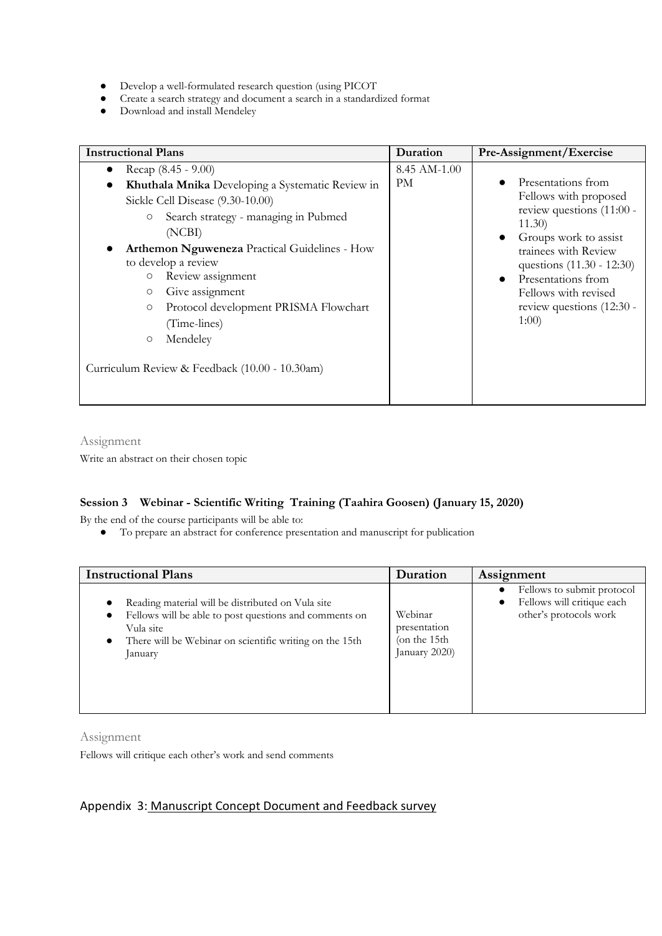- Develop a well-formulated research question (using PICOT
- Create a search strategy and document a search in a standardized format
- Download and install Mendeley

| <b>Instructional Plans</b>                                              |                                                                                                                                                                                                                                                                                                                                                                                                        | Duration                  | Pre-Assignment/Exercise                                                                                                                                                                                                                            |
|-------------------------------------------------------------------------|--------------------------------------------------------------------------------------------------------------------------------------------------------------------------------------------------------------------------------------------------------------------------------------------------------------------------------------------------------------------------------------------------------|---------------------------|----------------------------------------------------------------------------------------------------------------------------------------------------------------------------------------------------------------------------------------------------|
| $\bullet$<br>$\bullet$<br>$\circ$<br>$\circ$<br>$\circ$<br>$\circ$<br>O | Recap $(8.45 - 9.00)$<br>Khuthala Mnika Developing a Systematic Review in<br>Sickle Cell Disease (9.30-10.00)<br>Search strategy - managing in Pubmed<br>(NCBI)<br>Arthemon Nguweneza Practical Guidelines - How<br>to develop a review<br>Review assignment<br>Give assignment<br>Protocol development PRISMA Flowchart<br>(Time-lines)<br>Mendeley<br>Curriculum Review & Feedback (10.00 - 10.30am) | 8.45 AM-1.00<br><b>PM</b> | Presentations from<br>Fellows with proposed<br>review questions (11:00 -<br>11.30<br>Groups work to assist<br>trainees with Review<br>questions (11.30 - 12:30)<br>Presentations from<br>Fellows with revised<br>review questions (12:30 -<br>1:00 |

Assignment

Write an abstract on their chosen topic

## **Session 3 Webinar - Scientific Writing Training (Taahira Goosen) (January 15, 2020)**

By the end of the course participants will be able to:

● To prepare an abstract for conference presentation and manuscript for publication

| <b>Instructional Plans</b>                                                                                                                                                                                  | Duration                                                 | Assignment                                                                                      |
|-------------------------------------------------------------------------------------------------------------------------------------------------------------------------------------------------------------|----------------------------------------------------------|-------------------------------------------------------------------------------------------------|
| Reading material will be distributed on Vula site<br>Fellows will be able to post questions and comments on<br>Vula site<br>There will be Webinar on scientific writing on the 15th<br>$\bullet$<br>January | Webinar<br>presentation<br>(on the 15th<br>January 2020) | Fellows to submit protocol<br>Fellows will critique each<br>$\bullet$<br>other's protocols work |

Assignment

Fellows will critique each other's work and send comments

## Appendix 3: Manuscript Concept Document and Feedback survey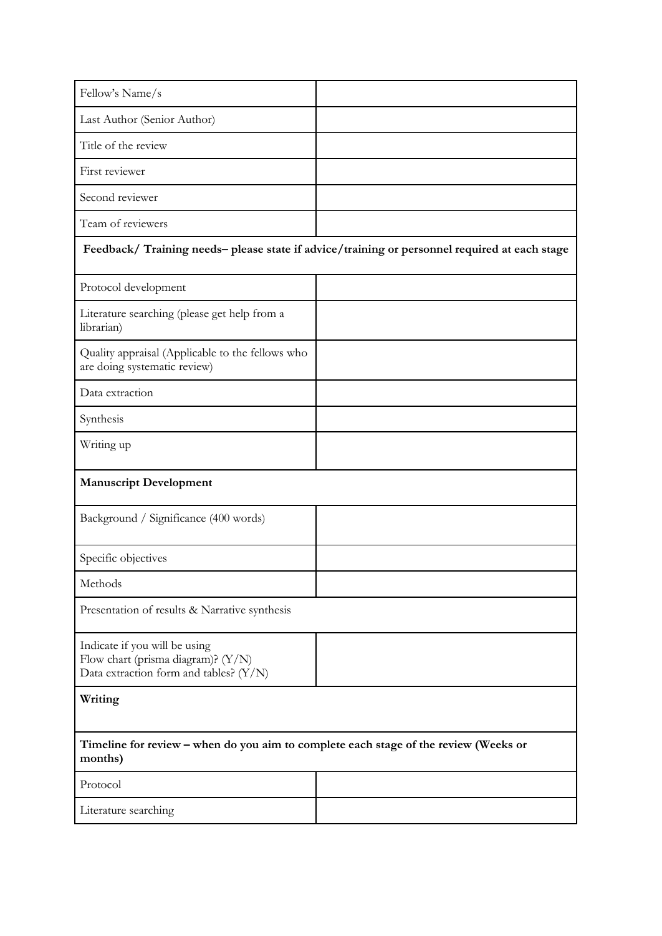| Fellow's Name/s                                                                                                   |                                                                                               |  |
|-------------------------------------------------------------------------------------------------------------------|-----------------------------------------------------------------------------------------------|--|
| Last Author (Senior Author)                                                                                       |                                                                                               |  |
| Title of the review                                                                                               |                                                                                               |  |
| First reviewer                                                                                                    |                                                                                               |  |
| Second reviewer                                                                                                   |                                                                                               |  |
| Team of reviewers                                                                                                 |                                                                                               |  |
|                                                                                                                   | Feedback/ Training needs- please state if advice/training or personnel required at each stage |  |
| Protocol development                                                                                              |                                                                                               |  |
| Literature searching (please get help from a<br>librarian)                                                        |                                                                                               |  |
| Quality appraisal (Applicable to the fellows who<br>are doing systematic review)                                  |                                                                                               |  |
| Data extraction                                                                                                   |                                                                                               |  |
| Synthesis                                                                                                         |                                                                                               |  |
| Writing up                                                                                                        |                                                                                               |  |
| <b>Manuscript Development</b>                                                                                     |                                                                                               |  |
| Background / Significance (400 words)                                                                             |                                                                                               |  |
| Specific objectives                                                                                               |                                                                                               |  |
| Methods                                                                                                           |                                                                                               |  |
| Presentation of results & Narrative synthesis                                                                     |                                                                                               |  |
| Indicate if you will be using<br>Flow chart (prisma diagram)? $(Y/N)$<br>Data extraction form and tables? $(Y/N)$ |                                                                                               |  |
| Writing                                                                                                           |                                                                                               |  |
| Timeline for review - when do you aim to complete each stage of the review (Weeks or<br>months)                   |                                                                                               |  |
| Protocol                                                                                                          |                                                                                               |  |
| Literature searching                                                                                              |                                                                                               |  |